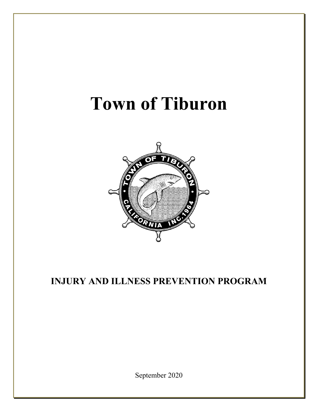# **Town of Tiburon**



## **INJURY AND ILLNESS PREVENTION PROGRAM**

September 2020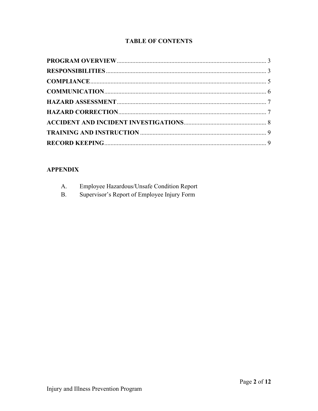### **TABLE OF CONTENTS**

## **APPENDIX**

| A.        | <b>Employee Hazardous/Unsafe Condition Report</b> |
|-----------|---------------------------------------------------|
| <b>B.</b> | Supervisor's Report of Employee Injury Form       |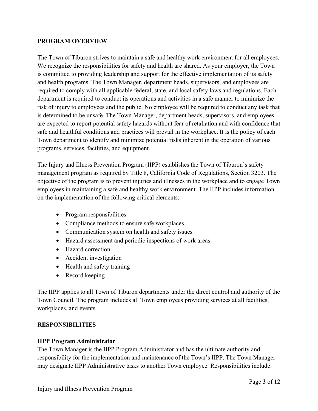#### <span id="page-2-0"></span>**PROGRAM OVERVIEW**

The Town of Tiburon strives to maintain a safe and healthy work environment for all employees. We recognize the responsibilities for safety and health are shared. As your employer, the Town is committed to providing leadership and support for the effective implementation of its safety and health programs. The Town Manager, department heads, supervisors, and employees are required to comply with all applicable federal, state, and local safety laws and regulations. Each department is required to conduct its operations and activities in a safe manner to minimize the risk of injury to employees and the public. No employee will be required to conduct any task that is determined to be unsafe. The Town Manager, department heads, supervisors, and employees are expected to report potential safety hazards without fear of retaliation and with confidence that safe and healthful conditions and practices will prevail in the workplace. It is the policy of each Town department to identify and minimize potential risks inherent in the operation of various programs, services, facilities, and equipment.

The Injury and Illness Prevention Program (IIPP) establishes the Town of Tiburon's safety management program as required by Title 8, California Code of Regulations, Section 3203. The objective of the program is to prevent injuries and illnesses in the workplace and to engage Town employees in maintaining a safe and healthy work environment. The IIPP includes information on the implementation of the following critical elements:

- Program responsibilities
- Compliance methods to ensure safe workplaces
- Communication system on health and safety issues
- Hazard assessment and periodic inspections of work areas
- Hazard correction
- Accident investigation
- Health and safety training
- Record keeping

The IIPP applies to all Town of Tiburon departments under the direct control and authority of the Town Council. The program includes all Town employees providing services at all facilities, workplaces, and events.

#### <span id="page-2-1"></span>**RESPONSIBILITIES**

#### **IIPP Program Administrator**

The Town Manager is the IIPP Program Administrator and has the ultimate authority and responsibility for the implementation and maintenance of the Town's IIPP. The Town Manager may designate IIPP Administrative tasks to another Town employee. Responsibilities include: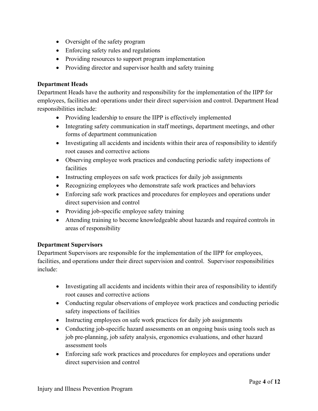- Oversight of the safety program
- Enforcing safety rules and regulations
- Providing resources to support program implementation
- Providing director and supervisor health and safety training

#### **Department Heads**

Department Heads have the authority and responsibility for the implementation of the IIPP for employees, facilities and operations under their direct supervision and control. Department Head responsibilities include:

- Providing leadership to ensure the IIPP is effectively implemented
- Integrating safety communication in staff meetings, department meetings, and other forms of department communication
- Investigating all accidents and incidents within their area of responsibility to identify root causes and corrective actions
- Observing employee work practices and conducting periodic safety inspections of facilities
- Instructing employees on safe work practices for daily job assignments
- Recognizing employees who demonstrate safe work practices and behaviors
- Enforcing safe work practices and procedures for employees and operations under direct supervision and control
- Providing job-specific employee safety training
- Attending training to become knowledgeable about hazards and required controls in areas of responsibility

#### **Department Supervisors**

Department Supervisors are responsible for the implementation of the IIPP for employees, facilities, and operations under their direct supervision and control. Supervisor responsibilities include:

- Investigating all accidents and incidents within their area of responsibility to identify root causes and corrective actions
- Conducting regular observations of employee work practices and conducting periodic safety inspections of facilities
- Instructing employees on safe work practices for daily job assignments
- Conducting job-specific hazard assessments on an ongoing basis using tools such as job pre-planning, job safety analysis, ergonomics evaluations, and other hazard assessment tools
- Enforcing safe work practices and procedures for employees and operations under direct supervision and control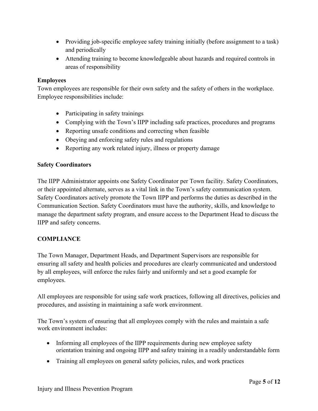- Providing job-specific employee safety training initially (before assignment to a task) and periodically
- Attending training to become knowledgeable about hazards and required controls in areas of responsibility

#### **Employees**

Town employees are responsible for their own safety and the safety of others in the workplace. Employee responsibilities include:

- Participating in safety trainings
- Complying with the Town's IIPP including safe practices, procedures and programs
- Reporting unsafe conditions and correcting when feasible
- Obeying and enforcing safety rules and regulations
- Reporting any work related injury, illness or property damage

#### **Safety Coordinators**

The IIPP Administrator appoints one Safety Coordinator per Town facility. Safety Coordinators, or their appointed alternate, serves as a vital link in the Town's safety communication system. Safety Coordinators actively promote the Town IIPP and performs the duties as described in the Communication Section. Safety Coordinators must have the authority, skills, and knowledge to manage the department safety program, and ensure access to the Department Head to discuss the IIPP and safety concerns.

#### <span id="page-4-0"></span>**COMPLIANCE**

The Town Manager, Department Heads, and Department Supervisors are responsible for ensuring all safety and health policies and procedures are clearly communicated and understood by all employees, will enforce the rules fairly and uniformly and set a good example for employees.

All employees are responsible for using safe work practices, following all directives, policies and procedures, and assisting in maintaining a safe work environment.

The Town's system of ensuring that all employees comply with the rules and maintain a safe work environment includes:

- Informing all employees of the IIPP requirements during new employee safety orientation training and ongoing IIPP and safety training in a readily understandable form
- Training all employees on general safety policies, rules, and work practices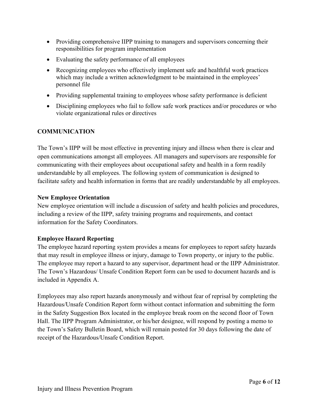- Providing comprehensive IIPP training to managers and supervisors concerning their responsibilities for program implementation
- Evaluating the safety performance of all employees
- Recognizing employees who effectively implement safe and healthful work practices which may include a written acknowledgment to be maintained in the employees' personnel file
- Providing supplemental training to employees whose safety performance is deficient
- Disciplining employees who fail to follow safe work practices and/or procedures or who violate organizational rules or directives

#### <span id="page-5-0"></span>**COMMUNICATION**

The Town's IIPP will be most effective in preventing injury and illness when there is clear and open communications amongst all employees. All managers and supervisors are responsible for communicating with their employees about occupational safety and health in a form readily understandable by all employees. The following system of communication is designed to facilitate safety and health information in forms that are readily understandable by all employees.

#### **New Employee Orientation**

New employee orientation will include a discussion of safety and health policies and procedures, including a review of the IIPP, safety training programs and requirements, and contact information for the Safety Coordinators.

#### **Employee Hazard Reporting**

The employee hazard reporting system provides a means for employees to report safety hazards that may result in employee illness or injury, damage to Town property, or injury to the public. The employee may report a hazard to any supervisor, department head or the IIPP Administrator. The Town's Hazardous/ Unsafe Condition Report form can be used to document hazards and is included in Appendix A.

Employees may also report hazards anonymously and without fear of reprisal by completing the Hazardous/Unsafe Condition Report form without contact information and submitting the form in the Safety Suggestion Box located in the employee break room on the second floor of Town Hall. The IIPP Program Administrator, or his/her designee, will respond by posting a memo to the Town's Safety Bulletin Board, which will remain posted for 30 days following the date of receipt of the Hazardous/Unsafe Condition Report.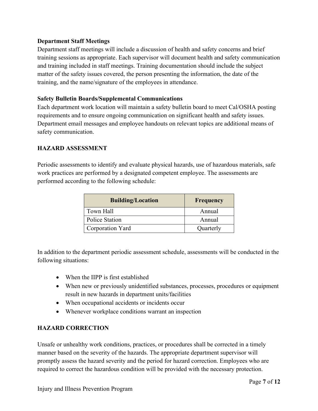#### **Department Staff Meetings**

Department staff meetings will include a discussion of health and safety concerns and brief training sessions as appropriate. Each supervisor will document health and safety communication and training included in staff meetings. Training documentation should include the subject matter of the safety issues covered, the person presenting the information, the date of the training, and the name/signature of the employees in attendance.

#### **Safety Bulletin Boards/Supplemental Communications**

Each department work location will maintain a safety bulletin board to meet Cal/OSHA posting requirements and to ensure ongoing communication on significant health and safety issues. Department email messages and employee handouts on relevant topics are additional means of safety communication.

#### <span id="page-6-0"></span>**HAZARD ASSESSMENT**

Periodic assessments to identify and evaluate physical hazards, use of hazardous materials, safe work practices are performed by a designated competent employee. The assessments are performed according to the following schedule:

| <b>Building/Location</b> | Frequency |
|--------------------------|-----------|
| Town Hall                | Annual    |
| <b>Police Station</b>    | Annual    |
| Corporation Yard         | Quarterly |

In addition to the department periodic assessment schedule, assessments will be conducted in the following situations:

- When the IIPP is first established
- When new or previously unidentified substances, processes, procedures or equipment result in new hazards in department units/facilities
- When occupational accidents or incidents occur
- Whenever workplace conditions warrant an inspection

#### <span id="page-6-1"></span>**HAZARD CORRECTION**

Unsafe or unhealthy work conditions, practices, or procedures shall be corrected in a timely manner based on the severity of the hazards. The appropriate department supervisor will promptly assess the hazard severity and the period for hazard correction. Employees who are required to correct the hazardous condition will be provided with the necessary protection.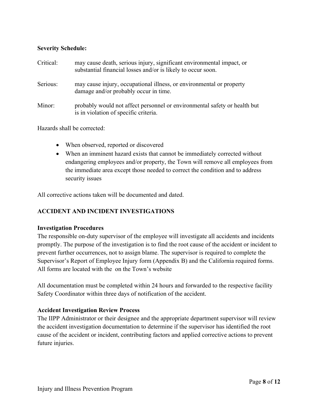#### **Severity Schedule:**

| Critical: | may cause death, serious injury, significant environmental impact, or<br>substantial financial losses and/or is likely to occur soon. |
|-----------|---------------------------------------------------------------------------------------------------------------------------------------|
| Serious:  | may cause injury, occupational illness, or environmental or property<br>damage and/or probably occur in time.                         |
| Minor:    | probably would not affect personnel or environmental safety or health but<br>is in violation of specific criteria.                    |

Hazards shall be corrected:

- When observed, reported or discovered
- When an imminent hazard exists that cannot be immediately corrected without endangering employees and/or property, the Town will remove all employees from the immediate area except those needed to correct the condition and to address security issues

All corrective actions taken will be documented and dated.

#### <span id="page-7-0"></span>**ACCIDENT AND INCIDENT INVESTIGATIONS**

#### **Investigation Procedures**

The responsible on-duty supervisor of the employee will investigate all accidents and incidents promptly. The purpose of the investigation is to find the root cause of the accident or incident to prevent further occurrences, not to assign blame. The supervisor is required to complete the Supervisor's Report of Employee Injury form (Appendix B) and the California required forms. All forms are located with the on the Town's website

All documentation must be completed within 24 hours and forwarded to the respective facility Safety Coordinator within three days of notification of the accident.

#### **Accident Investigation Review Process**

The IIPP Administrator or their designee and the appropriate department supervisor will review the accident investigation documentation to determine if the supervisor has identified the root cause of the accident or incident, contributing factors and applied corrective actions to prevent future injuries.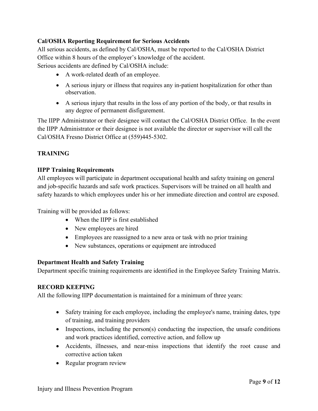#### **Cal/OSHA Reporting Requirement for Serious Accidents**

All serious accidents, as defined by Cal/OSHA, must be reported to the Cal/OSHA District Office within 8 hours of the employer's knowledge of the accident. Serious accidents are defined by Cal/OSHA include:

- A work-related death of an employee.
- A serious injury or illness that requires any in-patient hospitalization for other than observation.
- A serious injury that results in the loss of any portion of the body, or that results in any degree of permanent disfigurement.

The IIPP Administrator or their designee will contact the Cal/OSHA District Office. In the event the IIPP Administrator or their designee is not available the director or supervisor will call the Cal/OSHA Fresno District Office at (559)445-5302.

#### <span id="page-8-0"></span>**TRAINING**

#### **IIPP Training Requirements**

All employees will participate in department occupational health and safety training on general and job-specific hazards and safe work practices. Supervisors will be trained on all health and safety hazards to which employees under his or her immediate direction and control are exposed.

Training will be provided as follows:

- When the IIPP is first established
- New employees are hired
- Employees are reassigned to a new area or task with no prior training
- New substances, operations or equipment are introduced

#### **Department Health and Safety Training**

Department specific training requirements are identified in the Employee Safety Training Matrix.

#### <span id="page-8-1"></span>**RECORD KEEPING**

All the following IIPP documentation is maintained for a minimum of three years:

- Safety training for each employee, including the employee's name, training dates, type of training, and training providers
- Inspections, including the person(s) conducting the inspection, the unsafe conditions and work practices identified, corrective action, and follow up
- Accidents, illnesses, and near-miss inspections that identify the root cause and corrective action taken
- Regular program review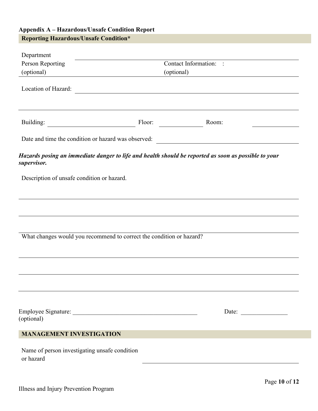## **Appendix A – Hazardous/Unsafe Condition Report Reporting Hazardous/Unsafe Condition\***

| Department                                                 |                                                                      |                                                                                                      |  |  |
|------------------------------------------------------------|----------------------------------------------------------------------|------------------------------------------------------------------------------------------------------|--|--|
| Person Reporting                                           |                                                                      | Contact Information: :                                                                               |  |  |
| (optional)                                                 | (optional)                                                           |                                                                                                      |  |  |
| Location of Hazard:                                        | <u> 1980 - John Stein, amerikansk politiker (</u>                    |                                                                                                      |  |  |
|                                                            |                                                                      | Floor:<br>Room:                                                                                      |  |  |
|                                                            | Date and time the condition or hazard was observed:                  |                                                                                                      |  |  |
| supervisor.                                                |                                                                      | Hazards posing an immediate danger to life and health should be reported as soon as possible to your |  |  |
| Description of unsafe condition or hazard.                 |                                                                      |                                                                                                      |  |  |
|                                                            |                                                                      |                                                                                                      |  |  |
|                                                            |                                                                      |                                                                                                      |  |  |
|                                                            |                                                                      |                                                                                                      |  |  |
|                                                            |                                                                      |                                                                                                      |  |  |
|                                                            | What changes would you recommend to correct the condition or hazard? |                                                                                                      |  |  |
|                                                            |                                                                      |                                                                                                      |  |  |
|                                                            |                                                                      |                                                                                                      |  |  |
|                                                            |                                                                      |                                                                                                      |  |  |
|                                                            |                                                                      |                                                                                                      |  |  |
|                                                            |                                                                      |                                                                                                      |  |  |
|                                                            |                                                                      | Date: $\qquad \qquad$                                                                                |  |  |
| (optional)                                                 |                                                                      |                                                                                                      |  |  |
| <b>MANAGEMENT INVESTIGATION</b>                            |                                                                      |                                                                                                      |  |  |
|                                                            |                                                                      |                                                                                                      |  |  |
| Name of person investigating unsafe condition<br>or hazard |                                                                      |                                                                                                      |  |  |
|                                                            |                                                                      |                                                                                                      |  |  |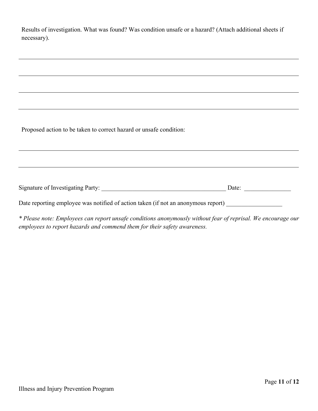| Results of investigation. What was found? Was condition unsafe or a hazard? (Attach additional sheets if |  |  |  |
|----------------------------------------------------------------------------------------------------------|--|--|--|
| necessary).                                                                                              |  |  |  |

Proposed action to be taken to correct hazard or unsafe condition:

| Signature of Investigating Party: |  |
|-----------------------------------|--|
|-----------------------------------|--|

Date reporting employee was notified of action taken (if not an anonymous report)

*\* Please note: Employees can report unsafe conditions anonymously without fear of reprisal. We encourage our employees to report hazards and commend them for their safety awareness.*